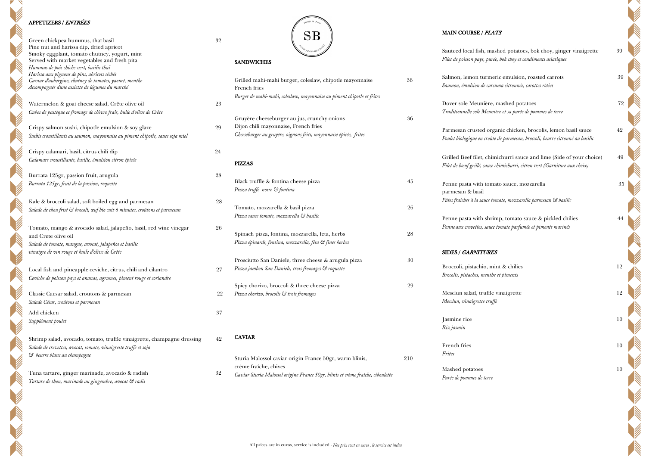## APPETIZERS / ENTRÉES

 $\overline{\phantom{a}}$ 

**SERVICE STATE** 

**Contract Contract Contract Contract Contract Contract Contract Contract Contract Contract Contract Contract C** 

NIN

| Green chickpea hummus, thaï basil                                                                         | 32 |                                                                                 |     |
|-----------------------------------------------------------------------------------------------------------|----|---------------------------------------------------------------------------------|-----|
| Pine nut and harissa dip, dried apricot                                                                   |    |                                                                                 |     |
| Smoky eggplant, tomato chutney, yogurt, mint                                                              |    |                                                                                 |     |
| Served with market vegetables and fresh pita                                                              |    | <b>SANDWICHES</b>                                                               |     |
| Hummus de pois chiche vert, basilic thaï                                                                  |    |                                                                                 |     |
| Harissa aux pignons de pins, abricots séchés                                                              |    |                                                                                 | 36  |
| Caviar d'aubergine, chutney de tomates, yaourt, menthe<br>Accompagnés d'une assiette de légumes du marché |    | Grilled mahi-mahi burger, coleslaw, chipotle mayonnaise                         |     |
|                                                                                                           |    | French fries                                                                    |     |
|                                                                                                           |    | Burger de mahi-mahi, coleslaw, mayonnaise au piment chipotle et frites          |     |
| Watermelon & goat cheese salad, Crête olive oil                                                           | 23 |                                                                                 |     |
| Cubes de pastèque et fromage de chèvre frais, huile d'olive de Crète                                      |    | Gruyère cheeseburger au jus, crunchy onions                                     | 36  |
|                                                                                                           |    |                                                                                 |     |
| Crispy salmon sushi, chipotle emulsion & soy glaze                                                        | 29 | Dijon chili mayonnaise, French fries                                            |     |
| Sushis croustillants au saumon, mayonnaise au piment chipotle, sauce soja miel                            |    | Cheeseburger au gruyère, oignons frits, mayonnaise épicée, frites               |     |
| Crispy calamari, basil, citrus chili dip                                                                  | 24 |                                                                                 |     |
| Calamars croustillants, basilic, émulsion citron épicée                                                   |    |                                                                                 |     |
|                                                                                                           |    | <b>PIZZAS</b>                                                                   |     |
| Burrata 125gr, passion fruit, arugula                                                                     | 28 |                                                                                 |     |
| Burrata 125gr, fruit de la passion, roquette                                                              |    | Black truffle & fontina cheese pizza                                            | 45  |
|                                                                                                           |    | Pizza truffe noire & fontina                                                    |     |
| Kale & broccoli salad, soft boiled egg and parmesan                                                       | 28 |                                                                                 |     |
| Salade de chou frisé & brocoli, œuf bio cuit 6 minutes, croûtons et parmesan                              |    | Tomato, mozzarella & basil pizza                                                | 26  |
|                                                                                                           |    | Pizza sauce tomate, mozzarella & basilic                                        |     |
| Tomato, mango & avocado salad, jalapeño, basil, red wine vinegar                                          | 26 |                                                                                 |     |
| and Crete olive oil                                                                                       |    | Spinach pizza, fontina, mozzarella, feta, herbs                                 | 28  |
| Salade de tomate, mangue, avocat, jalapeños et basilic                                                    |    | Pizza épinards, fontina, mozzarella, fêta & fines herbes                        |     |
| vinaigre de vin rouge et huile d'olive de Crète                                                           |    |                                                                                 |     |
|                                                                                                           |    | Prosciutto San Daniele, three cheese & arugula pizza                            | 30  |
| Local fish and pineapple ceviche, citrus, chili and cilantro                                              | 27 | Pizza jambon San Daniele, trois fromages & roquette                             |     |
| Ceviche de poisson pays et ananas, agrumes, piment rouge et coriandre                                     |    |                                                                                 |     |
|                                                                                                           |    | Spicy chorizo, broccoli & three cheese pizza                                    | 29  |
|                                                                                                           | 22 | Pizza chorizo, brocolis & trois fromages                                        |     |
| Classic Caesar salad, croutons & parmesan                                                                 |    |                                                                                 |     |
| Salade César, croûtons et parmesan                                                                        |    |                                                                                 |     |
| Add chicken                                                                                               | 37 |                                                                                 |     |
| Supplément poulet                                                                                         |    |                                                                                 |     |
|                                                                                                           |    | <b>CAVIAR</b>                                                                   |     |
| Shrimp salad, avocado, tomato, truffle vinaigrette, champagne dressing                                    | 42 |                                                                                 |     |
| Salade de crevettes, avocat, tomate, vinaigrette truffe et soja                                           |    |                                                                                 |     |
| & beurre blanc au champagne                                                                               |    | Sturia Malossol caviar origin France 50gr, warm blinis,                         | 210 |
|                                                                                                           |    | crème fraîche, chives                                                           |     |
| Tuna tartare, ginger marinade, avocado & radish                                                           | 32 | Caviar Sturia Malossol origine France 50gr, blinis et crème fraîche, ciboulette |     |
| Tartare de thon, marinade au gingembre, avocat & radis                                                    |    |                                                                                 |     |

## MAIN COURSE / PLATS

| Sauteed local fish, mashed potatoes, bok choy, ginger vinaigrette<br>Filet de poisson pays, purée, bok choy et condiments asiatiques |  |
|--------------------------------------------------------------------------------------------------------------------------------------|--|
| Salmon, lemon turmeric emulsion, roasted carrots                                                                                     |  |
| Saumon, émulsion de curcuma citronnée, carottes rôties                                                                               |  |
| Dover sole Meunière, mashed potatoes                                                                                                 |  |
| Traditionnelle sole Meunière et sa purée de pommes de terre                                                                          |  |
| Parmesan crusted organic chicken, brocolis, lemon basil sauce                                                                        |  |
| Poulet biologique en croûte de parmesan, broccoli, beurre citronné au basilic                                                        |  |
| Grilled Beef filet, chimichurri sauce and lime (Side of your choice)                                                                 |  |
| Filet de bœuf grillé, sauce chimichurri, citron vert (Garniture aux choix)                                                           |  |
| Penne pasta with tomato sauce, mozzarella                                                                                            |  |
| parmesan & basil                                                                                                                     |  |
| Pâtes fraîches à la sauce tomate, mozzarella parmesan & basilic                                                                      |  |
| Penne pasta with shrimp, tomato sauce & pickled chilies                                                                              |  |
| Penne aux crevettes, sauce tomate parfumée et piments marinés                                                                        |  |
| <b>SIDES / GARNITURES</b>                                                                                                            |  |
| Broccoli, pistachio, mint & chilies                                                                                                  |  |
|                                                                                                                                      |  |

Brocolis, pistaches, menthe et piments Mesclun salad, truffle vinaigrette 12 Mesclun, vinaigrette truffe

Jasmine rice 10 Riz jasmin

French fries 10 Frites

Mashed potatoes 10 Purée de pommes de terre